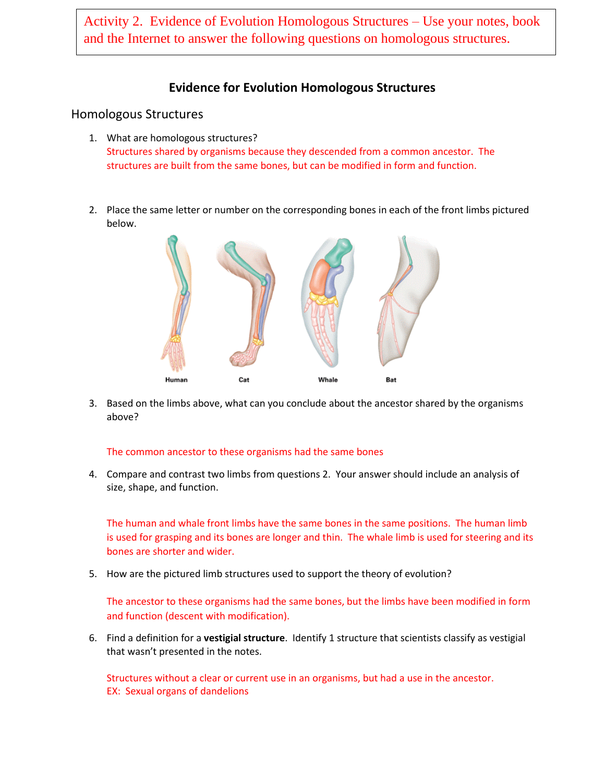Activity 2. Evidence of Evolution Homologous Structures – Use your notes, book and the Internet to answer the following questions on homologous structures.

### **Evidence for Evolution Homologous Structures**

#### Homologous Structures

- 1. What are homologous structures? Structures shared by organisms because they descended from a common ancestor. The structures are built from the same bones, but can be modified in form and function.
- 2. Place the same letter or number on the corresponding bones in each of the front limbs pictured below.



3. Based on the limbs above, what can you conclude about the ancestor shared by the organisms above?

#### The common ancestor to these organisms had the same bones

4. Compare and contrast two limbs from questions 2. Your answer should include an analysis of size, shape, and function.

The human and whale front limbs have the same bones in the same positions. The human limb is used for grasping and its bones are longer and thin. The whale limb is used for steering and its bones are shorter and wider.

5. How are the pictured limb structures used to support the theory of evolution?

The ancestor to these organisms had the same bones, but the limbs have been modified in form and function (descent with modification).

6. Find a definition for a **vestigial structure**. Identify 1 structure that scientists classify as vestigial that wasn't presented in the notes.

Structures without a clear or current use in an organisms, but had a use in the ancestor. EX: Sexual organs of dandelions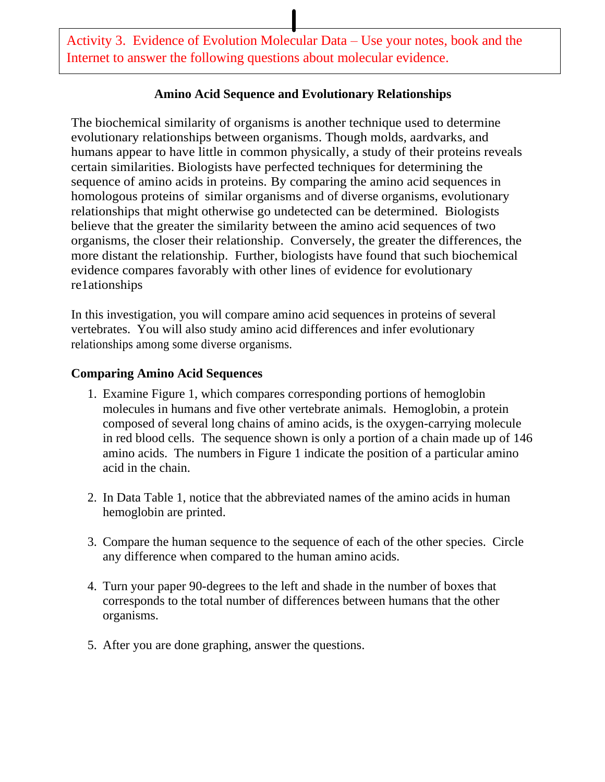Activity 3. Evidence of Evolution Molecular Data – Use your notes, book and the Internet to answer the following questions about molecular evidence.

### **Amino Acid Sequence and Evolutionary Relationships**

The biochemical similarity of organisms is another technique used to determine evolutionary relationships between organisms. Though molds, aardvarks, and humans appear to have little in common physically, a study of their proteins reveals certain similarities. Biologists have perfected techniques for determining the sequence of amino acids in proteins. By comparing the amino acid sequences in homologous proteins of similar organisms and of diverse organisms, evolutionary relationships that might otherwise go undetected can be determined. Biologists believe that the greater the similarity between the amino acid sequences of two organisms, the closer their relationship. Conversely, the greater the differences, the more distant the relationship. Further, biologists have found that such biochemical evidence compares favorably with other lines of evidence for evolutionary re1ationships

In this investigation, you will compare amino acid sequences in proteins of several vertebrates. You will also study amino acid differences and infer evolutionary relationships among some diverse organisms.

## **Comparing Amino Acid Sequences**

- 1. Examine Figure 1, which compares corresponding portions of hemoglobin molecules in humans and five other vertebrate animals. Hemoglobin, a protein composed of several long chains of amino acids, is the oxygen-carrying molecule in red blood cells. The sequence shown is only a portion of a chain made up of 146 amino acids. The numbers in Figure 1 indicate the position of a particular amino acid in the chain.
- 2. In Data Table 1, notice that the abbreviated names of the amino acids in human hemoglobin are printed.
- 3. Compare the human sequence to the sequence of each of the other species. Circle any difference when compared to the human amino acids.
- 4. Turn your paper 90-degrees to the left and shade in the number of boxes that corresponds to the total number of differences between humans that the other organisms.
- 5. After you are done graphing, answer the questions.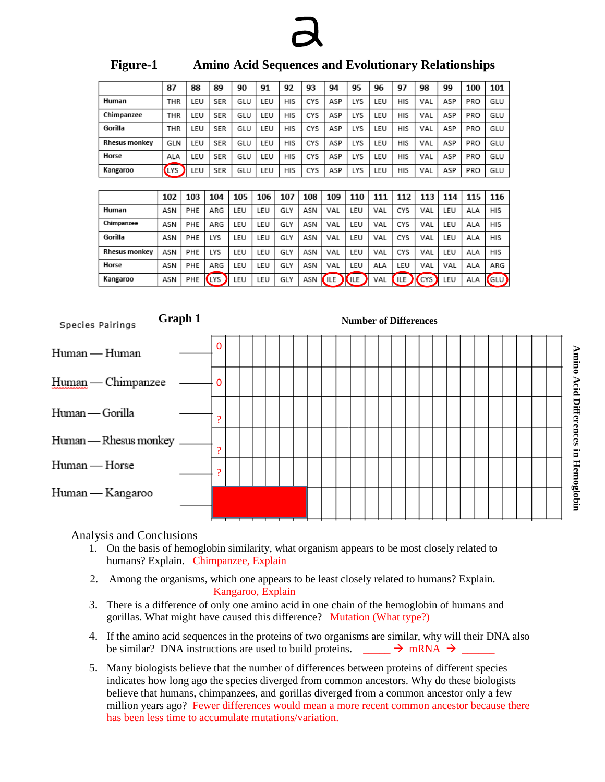

|               | 87                       | 88                | 89         | 90  | 91         | 92         | 93  | 94         | 95         | 96  | 97  | 98  | 99  | 100 | 101        |  |
|---------------|--------------------------|-------------------|------------|-----|------------|------------|-----|------------|------------|-----|-----|-----|-----|-----|------------|--|
| Human         | THR                      | LEU               | <b>SER</b> | GLU | LEU        |            | CYS | ASP        | LYS        | LEU | HIS | VAL | ASP | PRO | GLU        |  |
| Chimpanzee    | THR                      | LEU               | <b>SER</b> | GLU | LEU        | <b>HIS</b> | CYS | ASP        | <b>LYS</b> | LEU | HIS | VAL | ASP | PRO | GLU        |  |
| Gorilla       | LEU<br><b>SER</b><br>THR |                   | GLU        | LEU | <b>HIS</b> | CYS        | ASP | <b>LYS</b> | LEU        | HIS | VAL | ASP | PRO | GLU |            |  |
| Rhesus monkey | LEU<br><b>SER</b><br>GLN |                   | GLU        | LEU | <b>HIS</b> | CYS        | ASP | <b>LYS</b> | LEU        | HIS | VAL | ASP | PRO | GLU |            |  |
| Horse         | ALA                      | LEU               | <b>SER</b> | GLU | LEU        | HIS        | CYS | ASP        | LYS        | LEU | HIS | VAL | ASP | PRO | GLU        |  |
| Kangaroo      | LYS                      | <b>SER</b><br>LEU |            | GLU | LEU        | HIS        | CYS | ASP        | LYS        | LEU | HIS | VAL | ASP | PRO | GLU        |  |
|               |                          |                   |            |     |            |            |     |            |            |     |     |     |     |     |            |  |
|               | 102                      | 103               | 104        | 105 | 106        | 107        | 108 | 109        | 110        | 111 | 112 | 113 | 114 | 115 | 116        |  |
| Human         | ASN                      | PHE               | ARG        | LEU | LEU        | GLY        | ASN | VAL        | LEU        | VAL | CYS | VAL | LEU | ALA | <b>HIS</b> |  |
| Chimpanzee    | ASN                      | PHE               | ARG        | LEU | LEU        | GLY        | ASN | VAL        | LEU        | VAL | CYS | VAL | LEU | ALA | HIS        |  |
| Gorilla       | ASN                      | PHE               | LYS        | LEU | LEU        | GLY        | ASN | VAL        | LEU        | VAL | CYS | VAL | LEU | ALA | HIS        |  |

#### **Figure-1 Amino Acid Sequences and Evolutionary Relationships**

|                  | Kangaroo              | ASN                          | PHE (LYS) LEU |          |  |  | LEU |  | GLY ASN (ILE) (ILE) VAL (ILE) (CYS) LEU ALA GLU) |  |  |  |  |  |  |  |  |  |  |  |  |  |  |  |
|------------------|-----------------------|------------------------------|---------------|----------|--|--|-----|--|--------------------------------------------------|--|--|--|--|--|--|--|--|--|--|--|--|--|--|--|
| Species Pairings |                       | <b>Number of Differences</b> |               |          |  |  |     |  |                                                  |  |  |  |  |  |  |  |  |  |  |  |  |  |  |  |
| Human — Human    |                       |                              |               | 0        |  |  |     |  |                                                  |  |  |  |  |  |  |  |  |  |  |  |  |  |  |  |
|                  | Human — Chimpanzee    |                              |               | $\Omega$ |  |  |     |  |                                                  |  |  |  |  |  |  |  |  |  |  |  |  |  |  |  |
| Human — Gorilla  |                       |                              |               | ç        |  |  |     |  |                                                  |  |  |  |  |  |  |  |  |  |  |  |  |  |  |  |
|                  | Human - Rhesus monkey |                              |               | P        |  |  |     |  |                                                  |  |  |  |  |  |  |  |  |  |  |  |  |  |  |  |
| Human - Horse    |                       |                              |               | ς        |  |  |     |  |                                                  |  |  |  |  |  |  |  |  |  |  |  |  |  |  |  |
|                  | Human — Kangaroo      |                              |               |          |  |  |     |  |                                                  |  |  |  |  |  |  |  |  |  |  |  |  |  |  |  |
|                  |                       |                              |               |          |  |  |     |  |                                                  |  |  |  |  |  |  |  |  |  |  |  |  |  |  |  |

Analysis and Conclusions

**Rhesus monkey** 

Horse

ASN

ASN

PHE

PHE

LYS

ARG

LEU

LEU

LEU

LEU

GLY

GLY

ASN

ASN

VAL

VAL

LEU

LEU

VAL

ALA

CYS

LEU

VAL

VAL

LEU

VAL

ALA

ALA

HIS

ARG

- 1. On the basis of hemoglobin similarity, what organism appears to be most closely related to humans? Explain. Chimpanzee, Explain
- 2. Among the organisms, which one appears to be least closely related to humans? Explain. Kangaroo, Explain
- 3. There is a difference of only one amino acid in one chain of the hemoglobin of humans and gorillas. What might have caused this difference? Mutation (What type?)
- 4. If the amino acid sequences in the proteins of two organisms are similar, why will their DNA also be similar? DNA instructions are used to build proteins.  $\frac{\ }{\ }$   $\rightarrow$  mRNA  $\rightarrow$
- 5. Many biologists believe that the number of differences between proteins of different species indicates how long ago the species diverged from common ancestors. Why do these biologists believe that humans, chimpanzees, and gorillas diverged from a common ancestor only a few million years ago? Fewer differences would mean a more recent common ancestor because there has been less time to accumulate mutations/variation.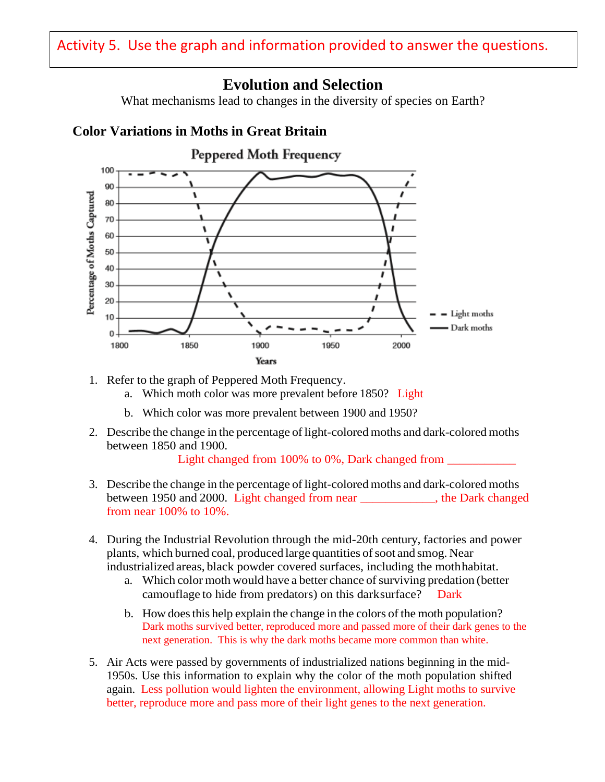# **Evolution and Selection**

What mechanisms lead to changes in the diversity of species on Earth?

## **Color Variations in Moths in Great Britain**



- 1. Refer to the graph of Peppered Moth Frequency.
	- a. Which moth color was more prevalent before 1850? Light
	- b. Which color was more prevalent between 1900 and 1950?
- 2. Describe the change in the percentage oflight-colored moths and dark-colored moths between 1850 and 1900.

Light changed from 100% to 0%, Dark changed from

- 3. Describe the change in the percentage oflight-colored moths and dark-colored moths between 1950 and 2000. Light changed from near \_\_\_\_\_\_\_\_\_\_\_\_, the Dark changed from near 100% to 10%.
- 4. During the Industrial Revolution through the mid-20th century, factories and power plants, which burned coal, produced large quantities of soot and smog. Near industrialized areas, black powder covered surfaces, including the mothhabitat.
	- a. Which color moth would have a better chance of surviving predation (better camouflage to hide from predators) on this darksurface? Dark
	- b. How doesthis help explain the change in the colors of the moth population? Dark moths survived better, reproduced more and passed more of their dark genes to the next generation. This is why the dark moths became more common than white.
- 5. Air Acts were passed by governments of industrialized nations beginning in the mid-1950s. Use this information to explain why the color of the moth population shifted again. Less pollution would lighten the environment, allowing Light moths to survive better, reproduce more and pass more of their light genes to the next generation.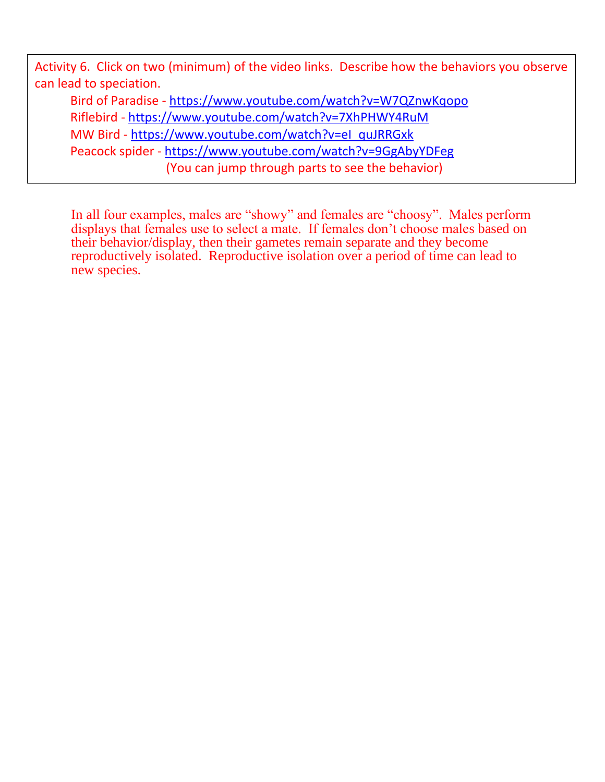Activity 6. Click on two (minimum) of the video links. Describe how the behaviors you observe can lead to speciation. Bird of Paradise - <https://www.youtube.com/watch?v=W7QZnwKqopo> Riflebird - <https://www.youtube.com/watch?v=7XhPHWY4RuM>

MW Bird - [https://www.youtube.com/watch?v=eI\\_quJRRGxk](https://www.youtube.com/watch?v=eI_quJRRGxk)

Peacock spider - <https://www.youtube.com/watch?v=9GgAbyYDFeg>

(You can jump through parts to see the behavior)

In all four examples, males are "showy" and females are "choosy". Males perform displays that females use to select a mate. If females don't choose males based on their behavior/display, then their gametes remain separate and they become reproductively isolated. Reproductive isolation over a period of time can lead to new species.